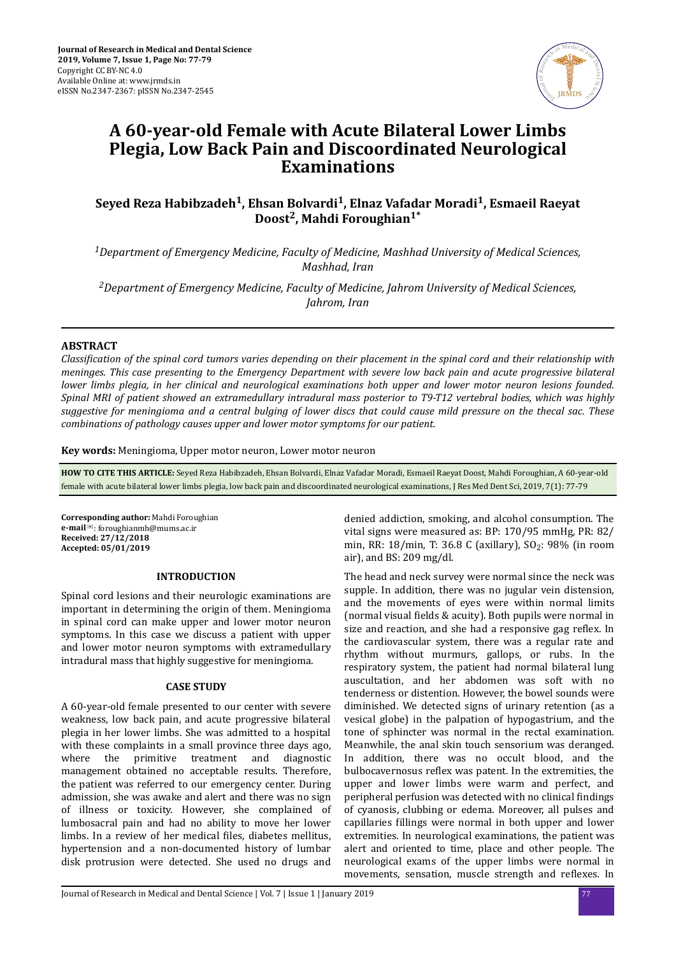

# **A 60-year-old Female with Acute Bilateral Lower Limbs Plegia, Low Back Pain and Discoordinated Neurological Examinations**

## **Seyed Reza Habibzadeh<sup>1</sup> , Ehsan Bolvardi<sup>1</sup> , Elnaz Vafadar Moradi<sup>1</sup> , Esmaeil Raeyat Doost<sup>2</sup> , Mahdi Foroughian1\***

*<sup>1</sup>Department of Emergency Medicine, Faculty of Medicine, Mashhad University of Medical Sciences, Mashhad, Iran*

*<sup>2</sup>Department of Emergency Medicine, Faculty of Medicine, Jahrom University of Medical Sciences, Jahrom, Iran*

### **ABSTRACT**

*ssϔton of the spinal cord tumors varies depending on their placement in the spinal cord and their relationship with meninges. This case presenting to the Emergency Department with severe low back pain and acute progressive bilateral lower limbs plegia, in her clinical and neurological examinations both upper and lower motor neuron lesions founded. Spinal MRI of patient showed an extramedullary intradural mass posterior to T9-T12 vertebral bodies, which was highly suggestive for meningioma and a central bulging of lower discs that could cause mild pressure on the thecal sac. These combinations of pathology causes upper and lower motor symptoms for our patient.*

**Key words:** Meningioma, Upper motor neuron, Lower motor neuron

**HOW TO CITE THIS ARTICLE:** Seyed Reza Habibzadeh, Ehsan Bolvardi, Elnaz Vafadar Moradi, Esmaeil Raeyat Doost, Mahdi Foroughian, A 60-year-old female with acute bilateral lower limbs plegia, low back pain and discoordinated neurological examinations, J Res Med Dent Sci, 2019, 7(1): 77-79

**Corresponding author:** Mahdi Foroughian **e-mail**<sup>⊠</sup>: foroughianmh@mums.ac.ir **Received: 27/12/2018 Accepted: 05/01/2019**

#### **INTRODUCTION**

Spinal cord lesions and their neurologic examinations are important in determining the origin of them. Meningioma in spinal cord can make upper and lower motor neuron symptoms. In this case we discuss a patient with upper and lower motor neuron symptoms with extramedullary intradural mass that highly suggestive for meningioma.

#### **CASE STUDY**

A 60-year-old female presented to our center with severe weakness, low back pain, and acute progressive bilateral plegia in her lower limbs. She was admitted to a hospital with these complaints in a small province three days ago, where the primitive treatment and diagnostic management obtained no acceptable results. Therefore, the patient was referred to our emergency center. During admission, she was awake and alert and there was no sign of illness or toxicity. However, she complained of lumbosacral pain and had no ability to move her lower limbs. In a review of her medical files, diabetes mellitus, hypertension and a non-documented history of lumbar disk protrusion were detected. She used no drugs and

denied addiction, smoking, and alcohol consumption. The vital signs were measured as: BP: 170/95 mmHg, PR: 82/ min, RR: 18/min, T: 36.8 C (axillary), SO<sub>2</sub>: 98% (in room air), and BS: 209 mg/dl.

The head and neck survey were normal since the neck was supple. In addition, there was no jugular vein distension, and the movements of eyes were within normal limits (normal visual fields & acuity). Both pupils were normal in size and reaction, and she had a responsive gag reflex. In the cardiovascular system, there was a regular rate and rhythm without murmurs, gallops, or rubs. In the respiratory system, the patient had normal bilateral lung auscultation, and her abdomen was soft with no tenderness or distention. However, the bowel sounds were diminished. We detected signs of urinary retention (as a vesical globe) in the palpation of hypogastrium, and the tone of sphincter was normal in the rectal examination. Meanwhile, the anal skin touch sensorium was deranged. In addition, there was no occult blood, and the bulbocavernosus reflex was patent. In the extremities, the upper and lower limbs were warm and perfect, and peripheral perfusion was detected with no clinical findings of cyanosis, clubbing or edema. Moreover, all pulses and capillaries fillings were normal in both upper and lower extremities. In neurological examinations, the patient was alert and oriented to time, place and other people. The neurological exams of the upper limbs were normal in movements, sensation, muscle strength and reflexes. In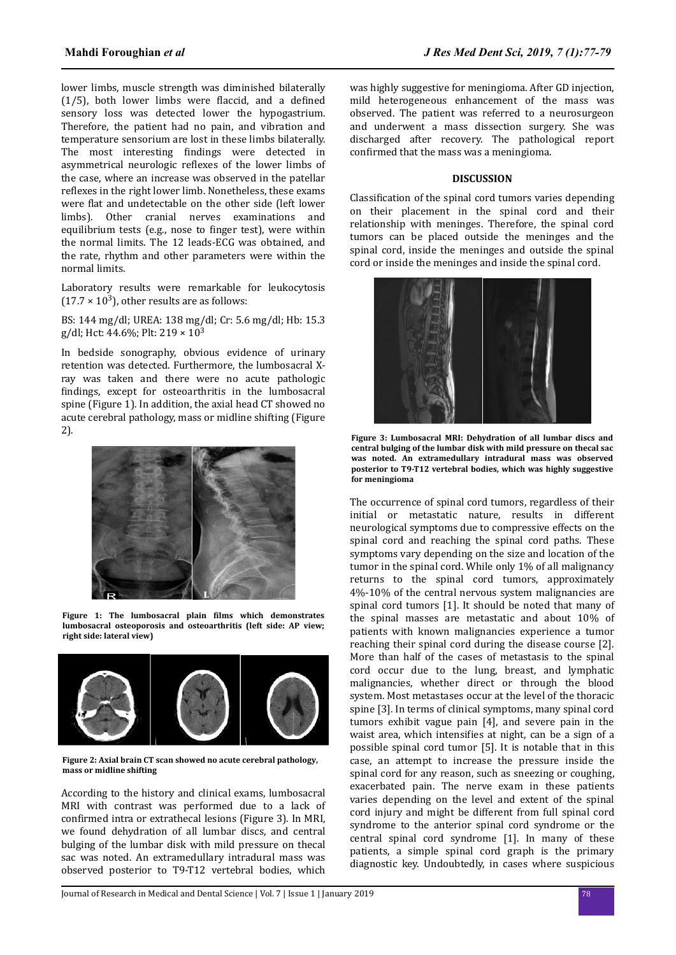lower limbs, muscle strength was diminished bilaterally  $(1/5)$ , both lower limbs were flaccid, and a defined sensory loss was detected lower the hypogastrium. Therefore, the patient had no pain, and vibration and temperature sensorium are lost in these limbs bilaterally. The most interesting findings were detected in asymmetrical neurologic reflexes of the lower limbs of the case, where an increase was observed in the patellar reflexes in the right lower limb. Nonetheless, these exams were flat and undetectable on the other side (left lower limbs). Other cranial nerves examinations and equilibrium tests (e.g., nose to finger test), were within the normal limits. The 12 leads-ECG was obtained, and the rate, rhythm and other parameters were within the normal limits.

Laboratory results were remarkable for leukocytosis  $(17.7 \times 10^3)$ , other results are as follows:

BS: 144 mg/dl; UREA: 138 mg/dl; Cr: 5.6 mg/dl; Hb: 15.3 g/dl; Hct: 44.6%; Plt:  $219 \times 10^3$ 

In bedside sonography, obvious evidence of urinary retention was detected. Furthermore, the lumbosacral Xray was taken and there were no acute pathologic findings, except for osteoarthritis in the lumbosacral spine (Figure 1). In addition, the axial head CT showed no acute cerebral pathology, mass or midline shifting (Figure 2).



**Figure 1: The lumbosacral plain ϐlm which demonstrates lumbosacral osteoporosis and osteoarthritis (left side: AP view; right side: lateral view)**



**Figure 2: Axial brain CT scan showed no acute cerebral pathology, mass or midline shifting**

According to the history and clinical exams, lumbosacral MRI with contrast was performed due to a lack of confirmed intra or extrathecal lesions (Figure 3). In MRI, we found dehydration of all lumbar discs, and central bulging of the lumbar disk with mild pressure on thecal sac was noted. An extramedullary intradural mass was observed posterior to T9-T12 vertebral bodies, which was highly suggestive for meningioma. After GD injection, mild heterogeneous enhancement of the mass was observed. The patient was referred to a neurosurgeon and underwent a mass dissection surgery. She was discharged after recovery. The pathological report confirmed that the mass was a meningioma.

#### **DISCUSSION**

Classification of the spinal cord tumors varies depending on their placement in the spinal cord and their relationship with meninges. Therefore, the spinal cord tumors can be placed outside the meninges and the spinal cord, inside the meninges and outside the spinal cord or inside the meninges and inside the spinal cord.



**Figure 3: Lumbosacral MRI: Dehydration of all lumbar discs and central bulging of the lumbar disk with mild pressure on thecal sac was noted. An extramedullary intradural mass was observed posterior to T9-T12 vertebral bodies, which was highly suggestive for meningioma**

The occurrence of spinal cord tumors, regardless of their initial or metastatic nature, results in different neurological symptoms due to compressive effects on the spinal cord and reaching the spinal cord paths. These symptoms vary depending on the size and location of the tumor in the spinal cord. While only 1% of all malignancy returns to the spinal cord tumors, approximately 4%-10% of the central nervous system malignancies are spinal cord tumors [1]. It should be noted that many of the spinal masses are metastatic and about 10% of patients with known malignancies experience a tumor reaching their spinal cord during the disease course [2]. More than half of the cases of metastasis to the spinal cord occur due to the lung, breast, and lymphatic malignancies, whether direct or through the blood system. Most metastases occur at the level of the thoracic spine [3]. In terms of clinical symptoms, many spinal cord tumors exhibit vague pain [4], and severe pain in the waist area, which intensifies at night, can be a sign of a possible spinal cord tumor [5]. It is notable that in this case, an attempt to increase the pressure inside the spinal cord for any reason, such as sneezing or coughing, exacerbated pain. The nerve exam in these patients varies depending on the level and extent of the spinal cord injury and might be different from full spinal cord syndrome to the anterior spinal cord syndrome or the central spinal cord syndrome [1]. In many of these patients, a simple spinal cord graph is the primary diagnostic key. Undoubtedly, in cases where suspicious